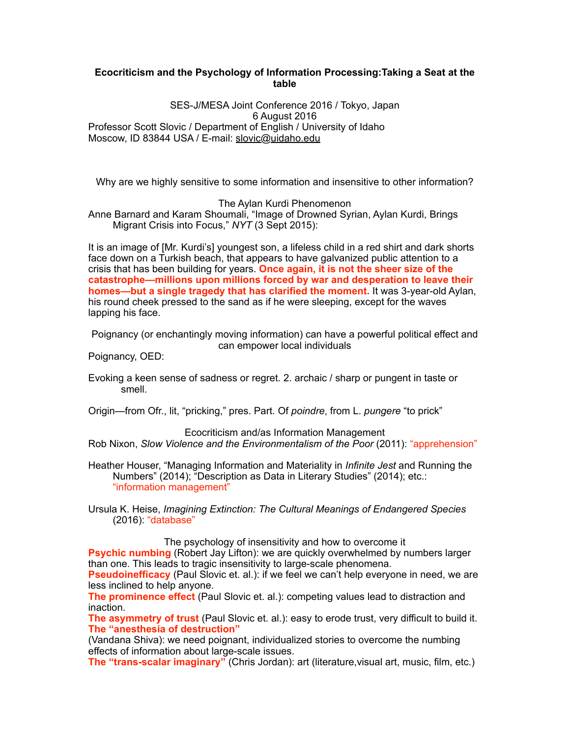# **Ecocriticism and the Psychology of Information Processing:Taking a Seat at the table**

SES-J/MESA Joint Conference 2016 / Tokyo, Japan 6 August 2016 Professor Scott Slovic / Department of English / University of Idaho Moscow, ID 83844 USA / E-mail: slovic@uidaho.edu

Why are we highly sensitive to some information and insensitive to other information?

The Aylan Kurdi Phenomenon

Anne Barnard and Karam Shoumali, "Image of Drowned Syrian, Aylan Kurdi, Brings Migrant Crisis into Focus," *NYT* (3 Sept 2015):

It is an image of [Mr. Kurdi's] youngest son, a lifeless child in a red shirt and dark shorts face down on a Turkish beach, that appears to have galvanized public attention to a crisis that has been building for years. **Once again, it is not the sheer size of the catastrophe—millions upon millions forced by war and desperation to leave their homes—but a single tragedy that has clarified the moment.** It was 3-year-old Aylan, his round cheek pressed to the sand as if he were sleeping, except for the waves lapping his face.

Poignancy (or enchantingly moving information) can have a powerful political effect and can empower local individuals

Poignancy, OED:

Evoking a keen sense of sadness or regret. 2. archaic / sharp or pungent in taste or smell.

Origin—from Ofr., lit, "pricking," pres. Part. Of *poindre*, from L. *pungere* "to prick"

Ecocriticism and/as Information Management Rob Nixon, *Slow Violence and the Environmentalism of the Poor* (2011): "apprehension"

Heather Houser, "Managing Information and Materiality in *Infinite Jest* and Running the Numbers" (2014); "Description as Data in Literary Studies" (2014); etc.: "information management"

Ursula K. Heise, *Imagining Extinction: The Cultural Meanings of Endangered Species* (2016): "database"

The psychology of insensitivity and how to overcome it

**Psychic numbing** (Robert Jay Lifton): we are quickly overwhelmed by numbers larger than one. This leads to tragic insensitivity to large-scale phenomena.

**Pseudoinefficacy** (Paul Slovic et. al.): if we feel we can't help everyone in need, we are less inclined to help anyone.

**The prominence effect** (Paul Slovic et. al.): competing values lead to distraction and inaction.

**The asymmetry of trust** (Paul Slovic et. al.): easy to erode trust, very difficult to build it. **The "anesthesia of destruction"** 

(Vandana Shiva): we need poignant, individualized stories to overcome the numbing effects of information about large-scale issues.

**The "trans-scalar imaginary"** (Chris Jordan): art (literature,visual art, music, film, etc.)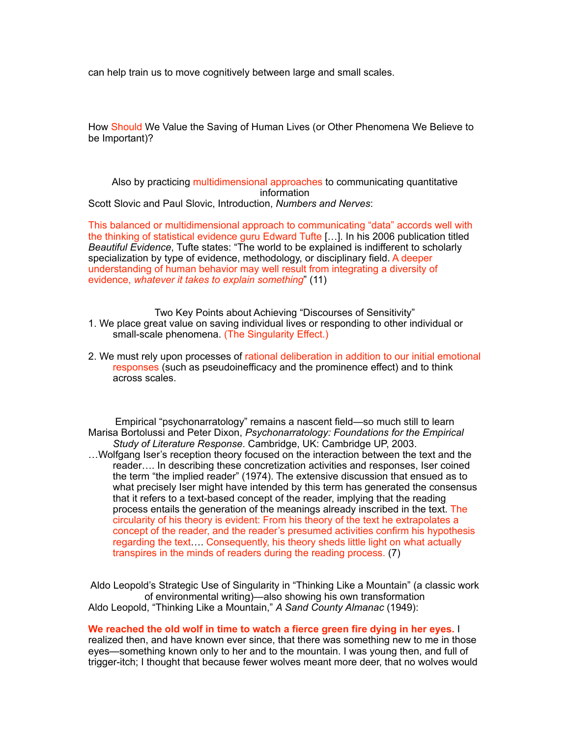can help train us to move cognitively between large and small scales.

How Should We Value the Saving of Human Lives (or Other Phenomena We Believe to be Important)?

Also by practicing multidimensional approaches to communicating quantitative information Scott Slovic and Paul Slovic, Introduction, *Numbers and Nerves*:

This balanced or multidimensional approach to communicating "data" accords well with the thinking of statistical evidence guru Edward Tufte […]. In his 2006 publication titled *Beautiful Evidence*, Tufte states: "The world to be explained is indifferent to scholarly specialization by type of evidence, methodology, or disciplinary field. A deeper understanding of human behavior may well result from integrating a diversity of evidence, *whatever it takes to explain something*" (11)

Two Key Points about Achieving "Discourses of Sensitivity"

- 1. We place great value on saving individual lives or responding to other individual or small-scale phenomena. (The Singularity Effect.)
- 2. We must rely upon processes of rational deliberation in addition to our initial emotional responses (such as pseudoinefficacy and the prominence effect) and to think across scales.

Empirical "psychonarratology" remains a nascent field—so much still to learn Marisa Bortolussi and Peter Dixon, *Psychonarratology: Foundations for the Empirical Study of Literature Response*. Cambridge, UK: Cambridge UP, 2003. …Wolfgang Iser's reception theory focused on the interaction between the text and the reader…. In describing these concretization activities and responses, Iser coined the term "the implied reader" (1974). The extensive discussion that ensued as to what precisely Iser might have intended by this term has generated the consensus that it refers to a text-based concept of the reader, implying that the reading process entails the generation of the meanings already inscribed in the text. The circularity of his theory is evident: From his theory of the text he extrapolates a concept of the reader, and the reader's presumed activities confirm his hypothesis regarding the text…. Consequently, his theory sheds little light on what actually transpires in the minds of readers during the reading process. (7)

Aldo Leopold's Strategic Use of Singularity in "Thinking Like a Mountain" (a classic work of environmental writing)—also showing his own transformation Aldo Leopold, "Thinking Like a Mountain," *A Sand County Almanac* (1949):

#### **We reached the old wolf in time to watch a fierce green fire dying in her eyes.** I

realized then, and have known ever since, that there was something new to me in those eyes—something known only to her and to the mountain. I was young then, and full of trigger-itch; I thought that because fewer wolves meant more deer, that no wolves would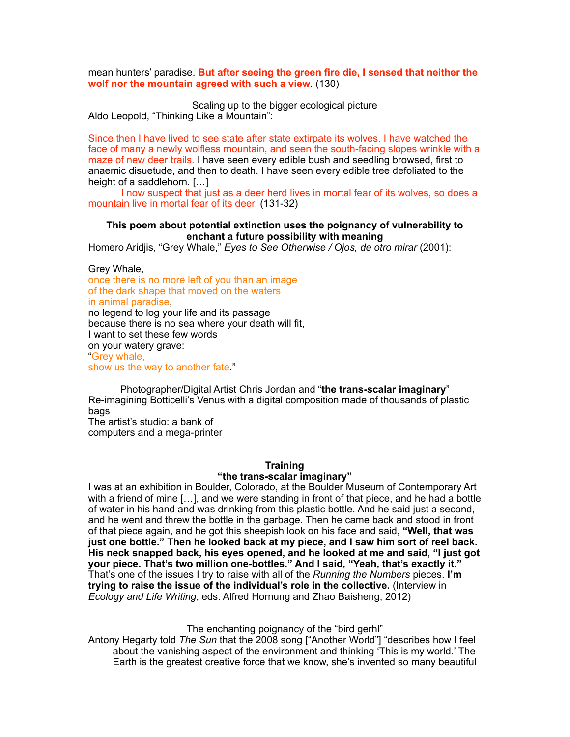mean hunters' paradise. **But after seeing the green fire die, I sensed that neither the wolf nor the mountain agreed with such a view**. (130)

Scaling up to the bigger ecological picture Aldo Leopold, "Thinking Like a Mountain":

Since then I have lived to see state after state extirpate its wolves. I have watched the face of many a newly wolfless mountain, and seen the south-facing slopes wrinkle with a maze of new deer trails. I have seen every edible bush and seedling browsed, first to anaemic disuetude, and then to death. I have seen every edible tree defoliated to the height of a saddlehorn. […]

I now suspect that just as a deer herd lives in mortal fear of its wolves, so does a mountain live in mortal fear of its deer. (131-32)

### **This poem about potential extinction uses the poignancy of vulnerability to enchant a future possibility with meaning**

Homero Aridjis, "Grey Whale," *Eyes to See Otherwise / Ojos, de otro mirar* (2001):

Grey Whale,

once there is no more left of you than an image of the dark shape that moved on the waters in animal paradise, no legend to log your life and its passage because there is no sea where your death will fit, I want to set these few words on your watery grave:

"Grey whale, show us the way to another fate."

Photographer/Digital Artist Chris Jordan and "**the trans-scalar imaginary**" Re-imagining Botticelli's Venus with a digital composition made of thousands of plastic bags

The artist's studio: a bank of computers and a mega-printer

### **Training**

### **"the trans-scalar imaginary"**

I was at an exhibition in Boulder, Colorado, at the Boulder Museum of Contemporary Art with a friend of mine […], and we were standing in front of that piece, and he had a bottle of water in his hand and was drinking from this plastic bottle. And he said just a second, and he went and threw the bottle in the garbage. Then he came back and stood in front of that piece again, and he got this sheepish look on his face and said, **"Well, that was just one bottle." Then he looked back at my piece, and I saw him sort of reel back. His neck snapped back, his eyes opened, and he looked at me and said, "I just got your piece. That's two million one-bottles." And I said, "Yeah, that's exactly it."**  That's one of the issues I try to raise with all of the *Running the Numbers* pieces. **I'm trying to raise the issue of the individual's role in the collective.** (Interview in *Ecology and Life Writing*, eds. Alfred Hornung and Zhao Baisheng, 2012)

The enchanting poignancy of the "bird gerhl"

Antony Hegarty told *The Sun* that the 2008 song ["Another World"] "describes how I feel about the vanishing aspect of the environment and thinking 'This is my world.' The Earth is the greatest creative force that we know, she's invented so many beautiful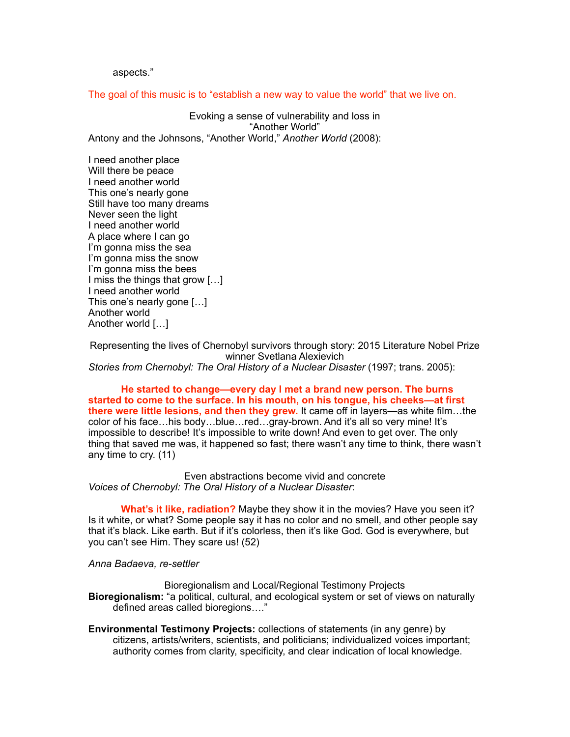aspects."

The goal of this music is to "establish a new way to value the world" that we live on.

Evoking a sense of vulnerability and loss in "Another World" Antony and the Johnsons, "Another World," *Another World* (2008):

I need another place Will there be peace I need another world This one's nearly gone Still have too many dreams Never seen the light I need another world A place where I can go I'm gonna miss the sea I'm gonna miss the snow I'm gonna miss the bees I miss the things that grow […] I need another world This one's nearly gone […] Another world Another world […]

Representing the lives of Chernobyl survivors through story: 2015 Literature Nobel Prize winner Svetlana Alexievich *Stories from Chernobyl: The Oral History of a Nuclear Disaster (1997; trans. 2005):* 

**He started to change—every day I met a brand new person. The burns started to come to the surface. In his mouth, on his tongue, his cheeks—at first there were little lesions, and then they grew.** It came off in layers—as white film…the color of his face…his body…blue…red…gray-brown. And it's all so very mine! It's impossible to describe! It's impossible to write down! And even to get over. The only thing that saved me was, it happened so fast; there wasn't any time to think, there wasn't any time to cry. (11)

Even abstractions become vivid and concrete *Voices of Chernobyl: The Oral History of a Nuclear Disaster*:

**What's it like, radiation?** Maybe they show it in the movies? Have you seen it? Is it white, or what? Some people say it has no color and no smell, and other people say that it's black. Like earth. But if it's colorless, then it's like God. God is everywhere, but you can't see Him. They scare us! (52)

*Anna Badaeva, re-settler*

Bioregionalism and Local/Regional Testimony Projects **Bioregionalism:** "a political, cultural, and ecological system or set of views on naturally defined areas called bioregions…."

**Environmental Testimony Projects:** collections of statements (in any genre) by citizens, artists/writers, scientists, and politicians; individualized voices important; authority comes from clarity, specificity, and clear indication of local knowledge.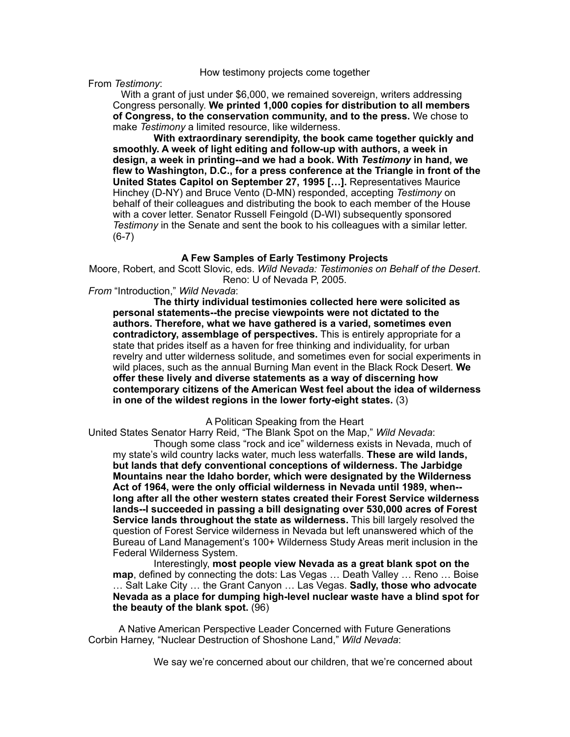#### How testimony projects come together

From *Testimony*:

With a grant of just under \$6,000, we remained sovereign, writers addressing Congress personally. **We printed 1,000 copies for distribution to all members of Congress, to the conservation community, and to the press.** We chose to make *Testimony* a limited resource, like wilderness.

**With extraordinary serendipity, the book came together quickly and smoothly. A week of light editing and follow-up with authors, a week in design, a week in printing--and we had a book. With** *Testimony* **in hand, we flew to Washington, D.C., for a press conference at the Triangle in front of the United States Capitol on September 27, 1995 […].** Representatives Maurice Hinchey (D-NY) and Bruce Vento (D-MN) responded, accepting *Testimony* on behalf of their colleagues and distributing the book to each member of the House with a cover letter. Senator Russell Feingold (D-WI) subsequently sponsored *Testimony* in the Senate and sent the book to his colleagues with a similar letter. (6-7)

### **A Few Samples of Early Testimony Projects**

Moore, Robert, and Scott Slovic, eds. *Wild Nevada: Testimonies on Behalf of the Desert*. Reno: U of Nevada P, 2005.

*From* "Introduction," *Wild Nevada*:

**The thirty individual testimonies collected here were solicited as personal statements--the precise viewpoints were not dictated to the authors. Therefore, what we have gathered is a varied, sometimes even contradictory, assemblage of perspectives.** This is entirely appropriate for a state that prides itself as a haven for free thinking and individuality, for urban revelry and utter wilderness solitude, and sometimes even for social experiments in wild places, such as the annual Burning Man event in the Black Rock Desert. **We offer these lively and diverse statements as a way of discerning how contemporary citizens of the American West feel about the idea of wilderness in one of the wildest regions in the lower forty-eight states.** (3)

A Politican Speaking from the Heart

United States Senator Harry Reid, "The Blank Spot on the Map," *Wild Nevada*:

Though some class "rock and ice" wilderness exists in Nevada, much of my state's wild country lacks water, much less waterfalls. **These are wild lands, but lands that defy conventional conceptions of wilderness. The Jarbidge Mountains near the Idaho border, which were designated by the Wilderness Act of 1964, were the only official wilderness in Nevada until 1989, when- long after all the other western states created their Forest Service wilderness lands--I succeeded in passing a bill designating over 530,000 acres of Forest Service lands throughout the state as wilderness.** This bill largely resolved the question of Forest Service wilderness in Nevada but left unanswered which of the Bureau of Land Management's 100+ Wilderness Study Areas merit inclusion in the Federal Wilderness System.

Interestingly, **most people view Nevada as a great blank spot on the map**, defined by connecting the dots: Las Vegas … Death Valley … Reno … Boise … Salt Lake City … the Grant Canyon … Las Vegas. **Sadly, those who advocate Nevada as a place for dumping high-level nuclear waste have a blind spot for the beauty of the blank spot.** (96)

A Native American Perspective Leader Concerned with Future Generations Corbin Harney, "Nuclear Destruction of Shoshone Land," *Wild Nevada*:

We say we're concerned about our children, that we're concerned about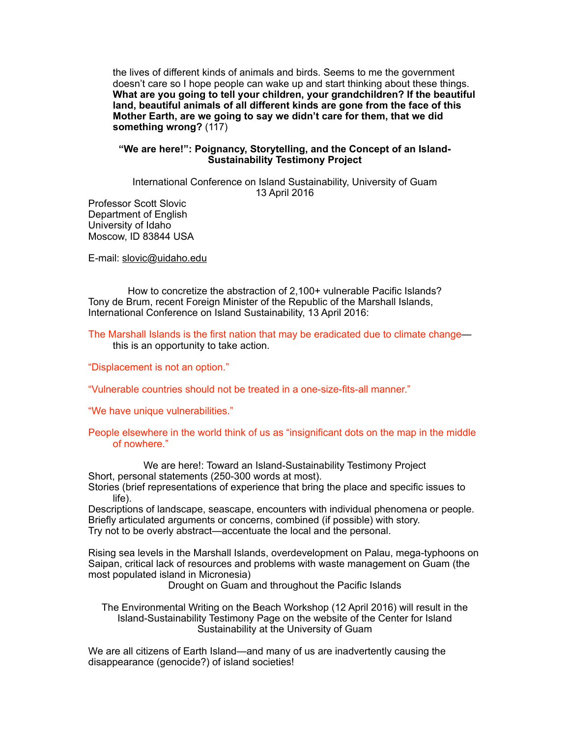the lives of different kinds of animals and birds. Seems to me the government doesn't care so I hope people can wake up and start thinking about these things. **What are you going to tell your children, your grandchildren? If the beautiful land, beautiful animals of all different kinds are gone from the face of this Mother Earth, are we going to say we didn't care for them, that we did something wrong?** (117)

## **"We are here!": Poignancy, Storytelling, and the Concept of an Island-Sustainability Testimony Project**

International Conference on Island Sustainability, University of Guam 13 April 2016

Professor Scott Slovic Department of English University of Idaho Moscow, ID 83844 USA

E-mail: slovic@uidaho.edu

How to concretize the abstraction of 2,100+ vulnerable Pacific Islands? Tony de Brum, recent Foreign Minister of the Republic of the Marshall Islands, International Conference on Island Sustainability, 13 April 2016:

The Marshall Islands is the first nation that may be eradicated due to climate change this is an opportunity to take action.

"Displacement is not an option."

"Vulnerable countries should not be treated in a one-size-fits-all manner."

"We have unique vulnerabilities."

### People elsewhere in the world think of us as "insignificant dots on the map in the middle of nowhere."

We are here!: Toward an Island-Sustainability Testimony Project Short, personal statements (250-300 words at most).

Stories (brief representations of experience that bring the place and specific issues to life).

Descriptions of landscape, seascape, encounters with individual phenomena or people. Briefly articulated arguments or concerns, combined (if possible) with story. Try not to be overly abstract—accentuate the local and the personal.

Rising sea levels in the Marshall Islands, overdevelopment on Palau, mega-typhoons on Saipan, critical lack of resources and problems with waste management on Guam (the most populated island in Micronesia)

Drought on Guam and throughout the Pacific Islands

The Environmental Writing on the Beach Workshop (12 April 2016) will result in the Island-Sustainability Testimony Page on the website of the Center for Island Sustainability at the University of Guam

We are all citizens of Earth Island—and many of us are inadvertently causing the disappearance (genocide?) of island societies!